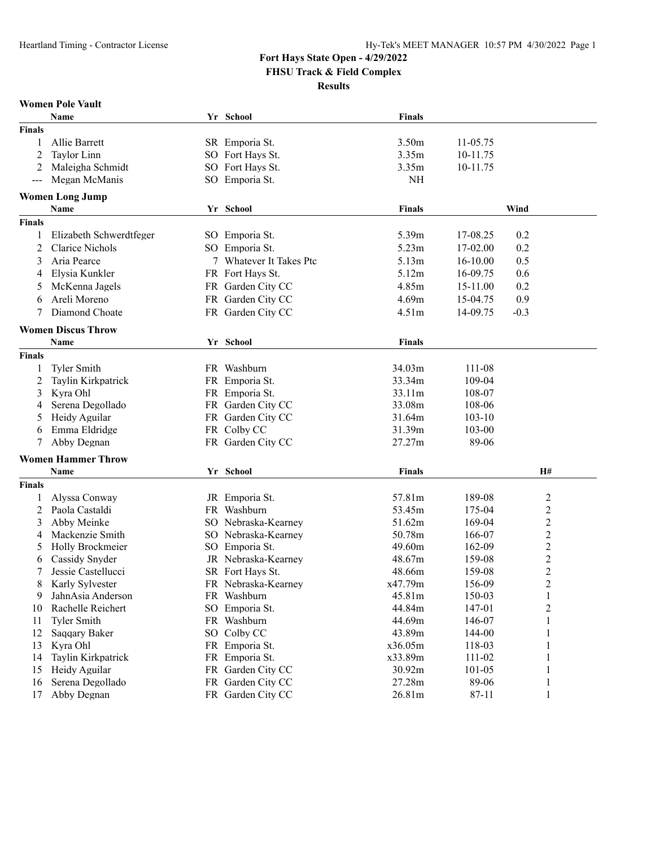**Women Pole Vault**

## **Fort Hays State Open - 4/29/2022**

**FHSU Track & Field Complex**

**Results**

|                      | Name                                     | Yr School               | <b>Finals</b>    |                  |                         |
|----------------------|------------------------------------------|-------------------------|------------------|------------------|-------------------------|
| <b>Finals</b>        |                                          |                         |                  |                  |                         |
| 1                    | Allie Barrett                            | SR Emporia St.          | 3.50m            | 11-05.75         |                         |
| 2                    | Taylor Linn                              | SO Fort Hays St.        | 3.35m            | 10-11.75         |                         |
| 2                    | Maleigha Schmidt                         | SO Fort Hays St.        | 3.35m            | 10-11.75         |                         |
| $\sim$ $\sim$ $\sim$ | Megan McManis                            | SO Emporia St.          | NH               |                  |                         |
|                      | <b>Women Long Jump</b>                   |                         |                  |                  |                         |
|                      | Name                                     | Yr School               | <b>Finals</b>    |                  | Wind                    |
| <b>Finals</b>        |                                          |                         |                  |                  |                         |
| 1                    | Elizabeth Schwerdtfeger                  | SO Emporia St.          | 5.39m            | 17-08.25         | 0.2                     |
| 2                    | <b>Clarice Nichols</b>                   | SO Emporia St.          | 5.23m            | 17-02.00         | 0.2                     |
| 3                    | Aria Pearce                              | 7 Whatever It Takes Ptc | 5.13m            | 16-10.00         | 0.5                     |
| 4                    | Elysia Kunkler                           | FR Fort Hays St.        | 5.12m            | 16-09.75         | 0.6                     |
| 5                    | McKenna Jagels                           | FR Garden City CC       | 4.85m            | 15-11.00         | 0.2                     |
| 6                    | Areli Moreno                             | FR Garden City CC       | 4.69m            | 15-04.75         | 0.9                     |
|                      | Diamond Choate                           | FR Garden City CC       | 4.51m            | 14-09.75         | $-0.3$                  |
|                      |                                          |                         |                  |                  |                         |
|                      | <b>Women Discus Throw</b><br><b>Name</b> | Yr School               | <b>Finals</b>    |                  |                         |
|                      |                                          |                         |                  |                  |                         |
| <b>Finals</b>        |                                          | FR Washburn             |                  |                  |                         |
| 1                    | <b>Tyler Smith</b>                       |                         | 34.03m           | 111-08<br>109-04 |                         |
| 2                    | Taylin Kirkpatrick                       | FR Emporia St.          | 33.34m           |                  |                         |
| 3                    | Kyra Ohl                                 | FR Emporia St.          | 33.11m           | 108-07           |                         |
| 4                    | Serena Degollado                         | FR Garden City CC       | 33.08m           | 108-06           |                         |
| 5                    | Heidy Aguilar                            | FR Garden City CC       | 31.64m           | $103 - 10$       |                         |
| 6                    | Emma Eldridge                            | FR Colby CC             | 31.39m<br>27.27m | 103-00           |                         |
|                      | Abby Degnan                              | FR Garden City CC       |                  | 89-06            |                         |
|                      | <b>Women Hammer Throw</b>                |                         |                  |                  |                         |
|                      | Name                                     | Yr School               | <b>Finals</b>    |                  | H#                      |
| <b>Finals</b>        |                                          |                         |                  |                  |                         |
| 1                    | Alyssa Conway                            | JR Emporia St.          | 57.81m           | 189-08           | $\overline{c}$          |
| 2                    | Paola Castaldi                           | FR Washburn             | 53.45m           | 175-04           | $\overline{\mathbf{c}}$ |
| 3                    | Abby Meinke                              | SO Nebraska-Kearney     | 51.62m           | 169-04           | $\overline{\mathbf{c}}$ |
| 4                    | Mackenzie Smith                          | SO Nebraska-Kearney     | 50.78m           | 166-07           | $\overline{\mathbf{c}}$ |
| 5                    | Holly Brockmeier                         | SO Emporia St.          | 49.60m           | 162-09           | $\overline{\mathbf{c}}$ |
| 6                    | Cassidy Snyder                           | JR Nebraska-Kearney     | 48.67m           | 159-08           | $\overline{c}$          |
|                      | Jessie Castellucci                       | SR Fort Hays St.        | 48.66m           | 159-08           | $\overline{c}$          |
| 8                    | Karly Sylvester                          | FR Nebraska-Kearney     | x47.79m          | 156-09           | $\overline{c}$          |
| 9                    | JahnAsia Anderson                        | FR Washburn             | 45.81m           | 150-03           |                         |
| 10                   | Rachelle Reichert                        | SO Emporia St.          | 44.84m           | 147-01           | $\overline{c}$          |
| 11                   | <b>Tyler Smith</b>                       | FR Washburn             | 44.69m           | 146-07           | $\mathbf{1}$            |
| 12                   | Saqqary Baker                            | SO Colby CC             | 43.89m           | 144-00           | 1                       |
| 13                   | Kyra Ohl                                 | FR Emporia St.          | x36.05m          | 118-03           | 1                       |
| 14                   | Taylin Kirkpatrick                       | FR Emporia St.          | x33.89m          | 111-02           | 1                       |
| 15                   | Heidy Aguilar                            | FR Garden City CC       | 30.92m           | $101 - 05$       | 1                       |
| 16                   | Serena Degollado                         | FR Garden City CC       | 27.28m           | 89-06            | 1                       |
| 17                   | Abby Degnan                              | FR Garden City CC       | 26.81m           | 87-11            | $\mathbf{1}$            |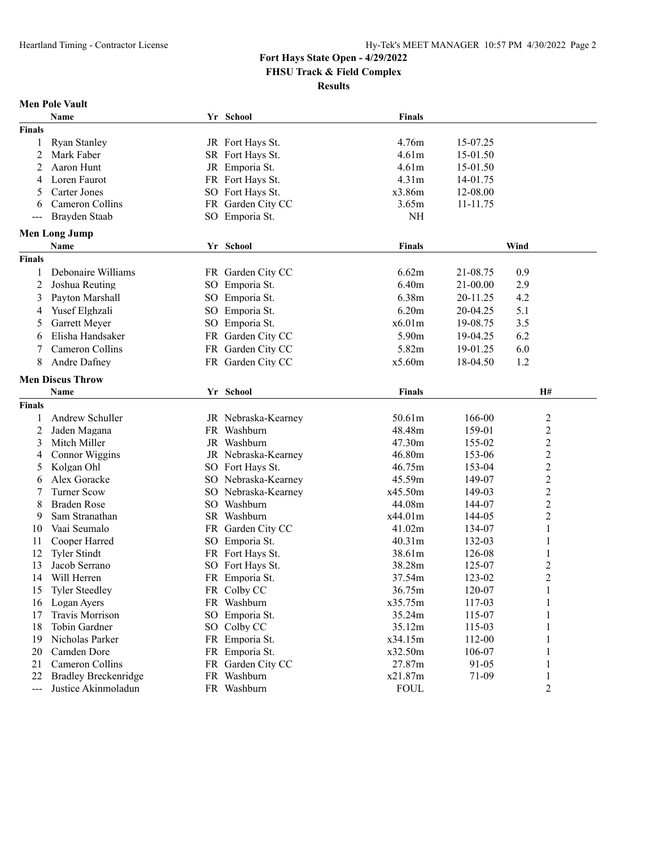**Men Pole Vault**

### **Fort Hays State Open - 4/29/2022 FHSU Track & Field Complex**

**Results**

|                      | Name                           |  | Yr School                     | <b>Finals</b>     |                  |                                           |  |
|----------------------|--------------------------------|--|-------------------------------|-------------------|------------------|-------------------------------------------|--|
| <b>Finals</b>        |                                |  |                               |                   |                  |                                           |  |
| 1                    | <b>Ryan Stanley</b>            |  | JR Fort Hays St.              | 4.76m             | 15-07.25         |                                           |  |
| 2                    | Mark Faber                     |  | SR Fort Hays St.              | 4.61m             | 15-01.50         |                                           |  |
| 2                    | Aaron Hunt                     |  | JR Emporia St.                | 4.61m             | 15-01.50         |                                           |  |
| 4                    | Loren Faurot                   |  | FR Fort Hays St.              | 4.31m             | 14-01.75         |                                           |  |
| 5                    | Carter Jones                   |  | SO Fort Hays St.              | x3.86m            | 12-08.00         |                                           |  |
| 6                    | Cameron Collins                |  | FR Garden City CC             | 3.65m             | 11-11.75         |                                           |  |
| $--$                 | Brayden Staab                  |  | SO Emporia St.                | NH                |                  |                                           |  |
| <b>Men Long Jump</b> |                                |  |                               |                   |                  |                                           |  |
|                      | Name                           |  | Yr School                     | <b>Finals</b>     |                  | Wind                                      |  |
| <b>Finals</b>        |                                |  |                               |                   |                  |                                           |  |
|                      | Debonaire Williams             |  | FR Garden City CC             | 6.62m             | 21-08.75         | 0.9                                       |  |
| 2                    | Joshua Reuting                 |  | SO Emporia St.                | 6.40m             | 21-00.00         | 2.9                                       |  |
| 3                    | Payton Marshall                |  | SO Emporia St.                | 6.38m             | 20-11.25         | 4.2                                       |  |
| 4                    | Yusef Elghzali                 |  | SO Emporia St.                | 6.20m             | 20-04.25         | 5.1                                       |  |
| 5                    | Garrett Meyer                  |  | SO Emporia St.                | x6.01m            | 19-08.75         | 3.5                                       |  |
| 6                    | Elisha Handsaker               |  | FR Garden City CC             | 5.90m             | 19-04.25         | 6.2                                       |  |
| 7                    | Cameron Collins                |  | FR Garden City CC             | 5.82m             | 19-01.25         | 6.0                                       |  |
| 8                    | Andre Dafney                   |  | FR Garden City CC             | x5.60m            | 18-04.50         | 1.2                                       |  |
|                      |                                |  |                               |                   |                  |                                           |  |
|                      | <b>Men Discus Throw</b>        |  |                               |                   |                  |                                           |  |
|                      | Name                           |  | Yr School                     | <b>Finals</b>     |                  | H#                                        |  |
| <b>Finals</b>        |                                |  |                               |                   |                  |                                           |  |
| 1                    | Andrew Schuller                |  | JR Nebraska-Kearney           | 50.61m            | 166-00           | $\overline{c}$                            |  |
| 2                    | Jaden Magana                   |  | FR Washburn                   | 48.48m            | 159-01           | 2                                         |  |
| 3                    | Mitch Miller                   |  | JR Washburn                   | 47.30m            | 155-02           | $\overline{c}$                            |  |
| 4                    | Connor Wiggins                 |  | JR Nebraska-Kearney           | 46.80m            | 153-06           | $\overline{c}$                            |  |
| 5                    | Kolgan Ohl                     |  | SO Fort Hays St.              | 46.75m            | 153-04           | $\overline{c}$                            |  |
| 6                    | Alex Goracke                   |  | SO Nebraska-Kearney           | 45.59m            | 149-07           | $\overline{c}$                            |  |
| 7                    | <b>Turner Scow</b>             |  | SO Nebraska-Kearney           | x45.50m           | 149-03           | $\overline{c}$                            |  |
| 8                    | <b>Braden Rose</b>             |  | SO Washburn                   | 44.08m            | 144-07           | $\overline{c}$                            |  |
| 9                    | Sam Stranathan                 |  | SR Washburn                   | x44.01m           | 144-05           | 2                                         |  |
| 10                   | Vaai Seumalo                   |  | FR Garden City CC             | 41.02m            | 134-07           | 1                                         |  |
| 11                   | Cooper Harred                  |  | SO Emporia St.                | 40.31m            | 132-03           | 1                                         |  |
| 12                   | <b>Tyler Stindt</b>            |  | FR Fort Hays St.              | 38.61m            | 126-08           | 1                                         |  |
| 13                   | Jacob Serrano<br>Will Herren   |  | SO Fort Hays St.              | 38.28m<br>37.54m  | 125-07           | $\overline{\mathbf{c}}$<br>$\overline{2}$ |  |
| 14                   |                                |  | FR Emporia St.                |                   | 123-02           |                                           |  |
|                      | 15 Tyler Steedley              |  | FR Colby CC                   | 36.75m<br>x35.75m | 120-07<br>117-03 | $\mathbf{1}$                              |  |
| 16<br>17             | Logan Ayers<br>Travis Morrison |  | FR Washburn<br>SO Emporia St. | 35.24m            | 115-07           | 1                                         |  |
| 18                   | Tobin Gardner                  |  | SO Colby CC                   | 35.12m            | 115-03           |                                           |  |
| 19                   | Nicholas Parker                |  | FR Emporia St.                | x34.15m           | 112-00           |                                           |  |
| 20                   | Camden Dore                    |  | FR Emporia St.                | x32.50m           | 106-07           |                                           |  |
| 21                   | Cameron Collins                |  | FR Garden City CC             | 27.87m            | 91-05            |                                           |  |
| 22                   | <b>Bradley Breckenridge</b>    |  | FR Washburn                   | x21.87m           | 71-09            | 1                                         |  |
| $--$                 | Justice Akinmoladun            |  | FR Washburn                   | <b>FOUL</b>       |                  | 2                                         |  |
|                      |                                |  |                               |                   |                  |                                           |  |